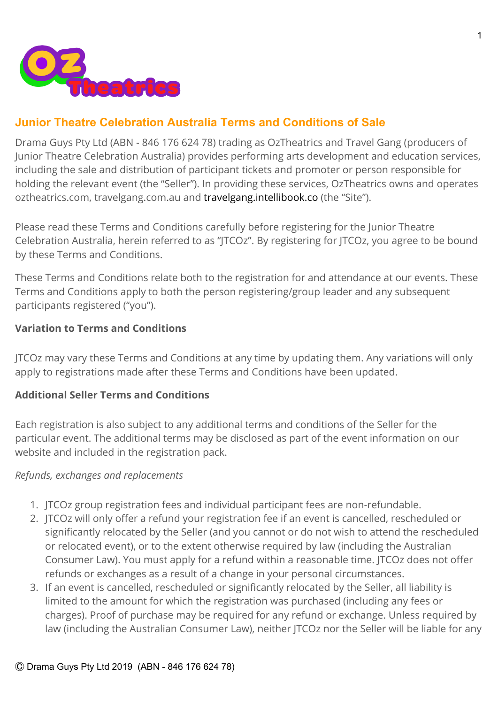

# **Junior Theatre Celebration Australia Terms and Conditions of Sale**

Drama Guys Pty Ltd (ABN - 846 176 624 78) trading as OzTheatrics and Travel Gang (producers of Junior Theatre Celebration Australia) provides performing arts development and education services, including the sale and distribution of participant tickets and promoter or person responsible for holding the relevant event (the "Seller"). In providing these services, OzTheatrics owns and operates oztheatrics.com, travelgang.com.au and [travelgang.intellibook.co](https://travelgang.intellibook.co/) (the "Site").

Please read these Terms and Conditions carefully before registering for the Junior Theatre Celebration Australia, herein referred to as "JTCOz". By registering for JTCOz, you agree to be bound by these Terms and Conditions.

These Terms and Conditions relate both to the registration for and attendance at our events. These Terms and Conditions apply to both the person registering/group leader and any subsequent participants registered ("you").

### **Variation to Terms and Conditions**

JTCOz may vary these Terms and Conditions at any time by updating them. Any variations will only apply to registrations made after these Terms and Conditions have been updated.

### **Additional Seller Terms and Conditions**

Each registration is also subject to any additional terms and conditions of the Seller for the particular event. The additional terms may be disclosed as part of the event information on our website and included in the registration pack.

### *Refunds, exchanges and replacements*

- 1. JTCOz group registration fees and individual participant fees are non-refundable.
- 2. JTCOz will only offer a refund your registration fee if an event is cancelled, rescheduled or significantly relocated by the Seller (and you cannot or do not wish to attend the rescheduled or relocated event), or to the extent otherwise required by law (including the Australian Consumer Law). You must apply for a refund within a reasonable time. JTCOz does not offer refunds or exchanges as a result of a change in your personal circumstances.
- 3. If an event is cancelled, rescheduled or significantly relocated by the Seller, all liability is limited to the amount for which the registration was purchased (including any fees or charges). Proof of purchase may be required for any refund or exchange. Unless required by law (including the Australian Consumer Law), neither JTCOz nor the Seller will be liable for any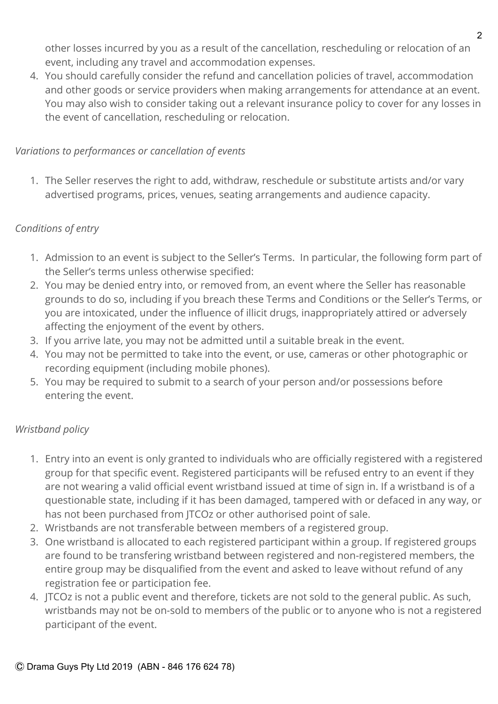other losses incurred by you as a result of the cancellation, rescheduling or relocation of an event, including any travel and accommodation expenses.

4. You should carefully consider the refund and cancellation policies of travel, accommodation and other goods or service providers when making arrangements for attendance at an event. You may also wish to consider taking out a relevant insurance policy to cover for any losses in the event of cancellation, rescheduling or relocation.

## *Variations to performances or cancellation of events*

1. The Seller reserves the right to add, withdraw, reschedule or substitute artists and/or vary advertised programs, prices, venues, seating arrangements and audience capacity.

## *Conditions of entry*

- 1. Admission to an event is subject to the Seller's Terms. In particular, the following form part of the Seller's terms unless otherwise specified:
- 2. You may be denied entry into, or removed from, an event where the Seller has reasonable grounds to do so, including if you breach these Terms and Conditions or the Seller's Terms, or you are intoxicated, under the influence of illicit drugs, inappropriately attired or adversely affecting the enjoyment of the event by others.
- 3. If you arrive late, you may not be admitted until a suitable break in the event.
- 4. You may not be permitted to take into the event, or use, cameras or other photographic or recording equipment (including mobile phones).
- 5. You may be required to submit to a search of your person and/or possessions before entering the event.

# *Wristband policy*

- 1. Entry into an event is only granted to individuals who are officially registered with a registered group for that specific event. Registered participants will be refused entry to an event if they are not wearing a valid official event wristband issued at time of sign in. If a wristband is of a questionable state, including if it has been damaged, tampered with or defaced in any way, or has not been purchased from JTCOz or other authorised point of sale.
- 2. Wristbands are not transferable between members of a registered group.
- 3. One wristband is allocated to each registered participant within a group. If registered groups are found to be transfering wristband between registered and non-registered members, the entire group may be disqualified from the event and asked to leave without refund of any registration fee or participation fee.
- 4. JTCOz is not a public event and therefore, tickets are not sold to the general public. As such, wristbands may not be on-sold to members of the public or to anyone who is not a registered participant of the event.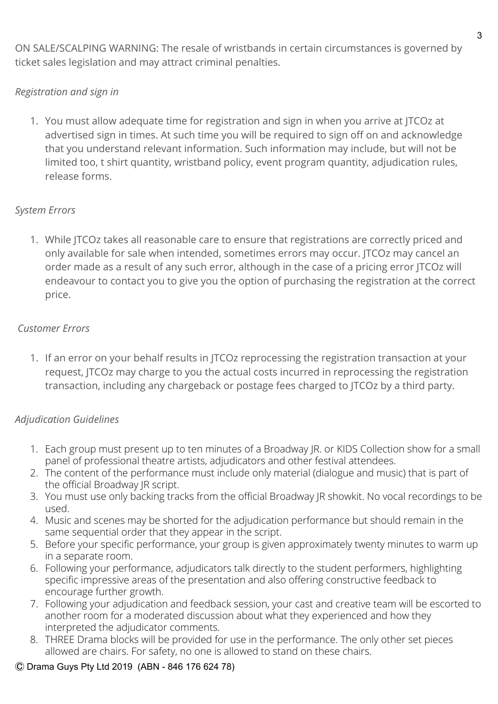ON SALE/SCALPING WARNING: The resale of wristbands in certain circumstances is governed by ticket sales legislation and may attract criminal penalties.

# *Registration and sign in*

1. You must allow adequate time for registration and sign in when you arrive at JTCOz at advertised sign in times. At such time you will be required to sign off on and acknowledge that you understand relevant information. Such information may include, but will not be limited too, t shirt quantity, wristband policy, event program quantity, adjudication rules, release forms.

# *System Errors*

1. While JTCOz takes all reasonable care to ensure that registrations are correctly priced and only available for sale when intended, sometimes errors may occur. JTCOz may cancel an order made as a result of any such error, although in the case of a pricing error JTCOz will endeavour to contact you to give you the option of purchasing the registration at the correct price.

# *Customer Errors*

1. If an error on your behalf results in JTCOz reprocessing the registration transaction at your request, JTCOz may charge to you the actual costs incurred in reprocessing the registration transaction, including any chargeback or postage fees charged to JTCOz by a third party.

# *Adjudication Guidelines*

- 1. Each group must present up to ten minutes of a Broadway JR. or KIDS Collection show for a small panel of professional theatre artists, adjudicators and other festival attendees.
- 2. The content of the performance must include only material (dialogue and music) that is part of the official Broadway JR script.
- 3. You must use only backing tracks from the official Broadway JR showkit. No vocal recordings to be used.
- 4. Music and scenes may be shorted for the adjudication performance but should remain in the same sequential order that they appear in the script.
- 5. Before your specific performance, your group is given approximately twenty minutes to warm up in a separate room.
- 6. Following your performance, adjudicators talk directly to the student performers, highlighting specific impressive areas of the presentation and also offering constructive feedback to encourage further growth.
- 7. Following your adjudication and feedback session, your cast and creative team will be escorted to another room for a moderated discussion about what they experienced and how they interpreted the adjudicator comments.
- 8. THREE Drama blocks will be provided for use in the performance.The only other set pieces allowed are chairs. For safety, no one is allowed to stand on these chairs.

## Ⓒ Drama Guys Pty Ltd 2019 (ABN - 846 176 624 78)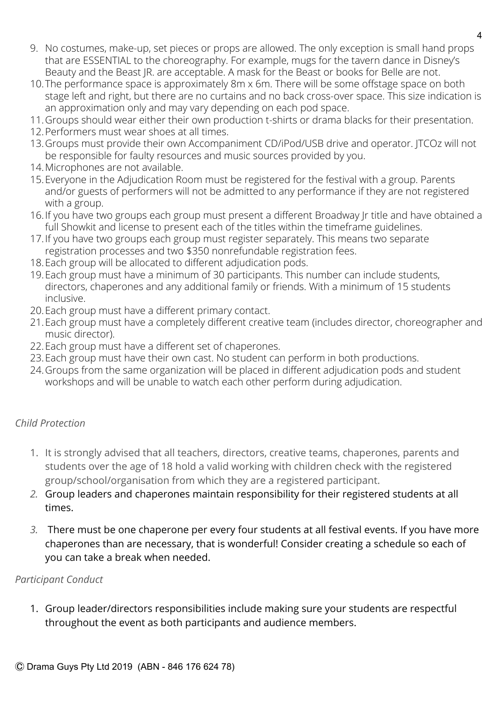- 9. No costumes, make-up, set pieces or props are allowed. The only exception is small hand props that are ESSENTIAL to the choreography. For example, mugs for the tavern dance in Disney's Beauty and the Beast JR. are acceptable. A mask for the Beast or books for Belle are not.
- 10.The performance space is approximately 8m x 6m. There will be some offstage space on both stage left and right, but there are no curtains and no back cross-over space. This size indication is an approximation only and may vary depending on each pod space.
- 11.Groups should wear either their own production t-shirts or drama blacks for their presentation.
- 12.Performers must wear shoes at all times.
- 13.Groups must provide their own Accompaniment CD/iPod/USB drive and operator. JTCOz will not be responsible for faulty resources and music sources provided by you.
- 14.Microphones are not available.
- 15.Everyone in the Adjudication Room must be registered for the festival with a group. Parents and/or guests of performers will not be admitted to any performance if they are not registered with a group.
- 16.If you have two groups each group must present a different Broadway Jr title and have obtained a full Showkit and license to present each of the titles within the timeframe guidelines.
- 17.If you have two groups each group must register separately. This means two separate registration processes and two \$350 nonrefundable registration fees.
- 18.Each group will be allocated to different adjudication pods.
- 19.Each group must have a minimum of 30 participants. This number can include students, directors, chaperones and any additional family or friends. With a minimum of 15 students inclusive.
- 20.Each group must have a different primary contact.
- 21.Each group must have a completely different creative team (includes director, choreographer and music director).
- 22.Each group must have a different set of chaperones.
- 23.Each group must have their own cast. No student can perform in both productions.
- 24.Groups from the same organization will be placed in different adjudication pods and student workshops and will be unable to watch each other perform during adjudication.

# *Child Protection*

- 1. It is strongly advised that all teachers, directors, creative teams, chaperones, parents and students over the age of 18 hold a valid working with children check with the registered group/school/organisation from which they are a registered participant.
- *2.* Group leaders and chaperones maintain responsibility for their registered students at all times.
- *3.* There must be one chaperone per every four students at all festival events. If you have more chaperones than are necessary, that is wonderful! Consider creating a schedule so each of you can take a break when needed.

# *Participant Conduct*

1. Group leader/directors responsibilities include making sure your students are respectful throughout the event as both participants and audience members.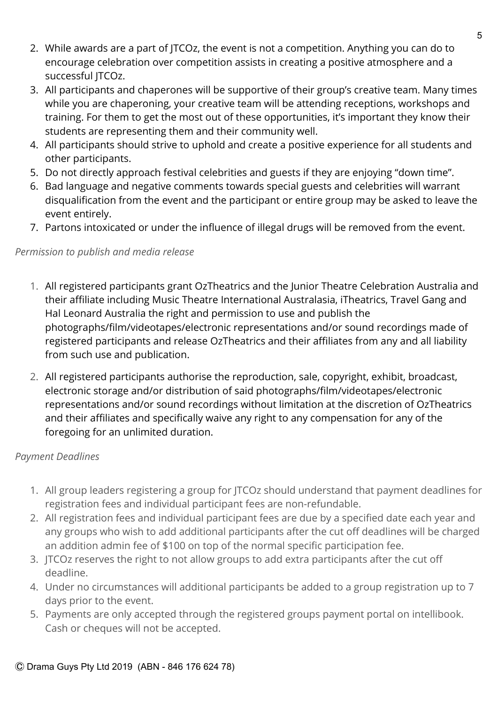- 2. While awards are a part of JTCOz, the event is not a competition. Anything you can do to encourage celebration over competition assists in creating a positive atmosphere and a successful JTCOz.
- 3. All participants and chaperones will be supportive of their group's creative team. Many times while you are chaperoning, your creative team will be attending receptions, workshops and training. For them to get the most out of these opportunities, it's important they know their students are representing them and their community well.
- 4. All participants should strive to uphold and create a positive experience for all students and other participants.
- 5. Do not directly approach festival celebrities and guests if they are enjoying "down time".
- 6. Bad language and negative comments towards special guests and celebrities will warrant disqualification from the event and the participant or entire group may be asked to leave the event entirely.
- 7. Partons intoxicated or under the influence of illegal drugs will be removed from the event.

# *Permission to publish and media release*

- 1. All registered participants grant OzTheatrics and the Junior Theatre Celebration Australia and their affiliate including Music Theatre International Australasia, iTheatrics, Travel Gang and Hal Leonard Australia the right and permission to use and publish the photographs/film/videotapes/electronic representations and/or sound recordings made of registered participants and release OzTheatrics and their affiliates from any and all liability from such use and publication.
- 2. All registered participants authorise the reproduction, sale, copyright, exhibit, broadcast, electronic storage and/or distribution of said photographs/film/videotapes/electronic representations and/or sound recordings without limitation at the discretion of OzTheatrics and their affiliates and specifically waive any right to any compensation for any of the foregoing for an unlimited duration.

# *Payment Deadlines*

- 1. All group leaders registering a group for JTCOz should understand that payment deadlines for registration fees and individual participant fees are non-refundable.
- 2. All registration fees and individual participant fees are due by a specified date each year and any groups who wish to add additional participants after the cut off deadlines will be charged an addition admin fee of \$100 on top of the normal specific participation fee.
- 3. JTCOz reserves the right to not allow groups to add extra participants after the cut off deadline.
- 4. Under no circumstances will additional participants be added to a group registration up to 7 days prior to the event.
- 5. Payments are only accepted through the registered groups payment portal on intellibook. Cash or cheques will not be accepted.